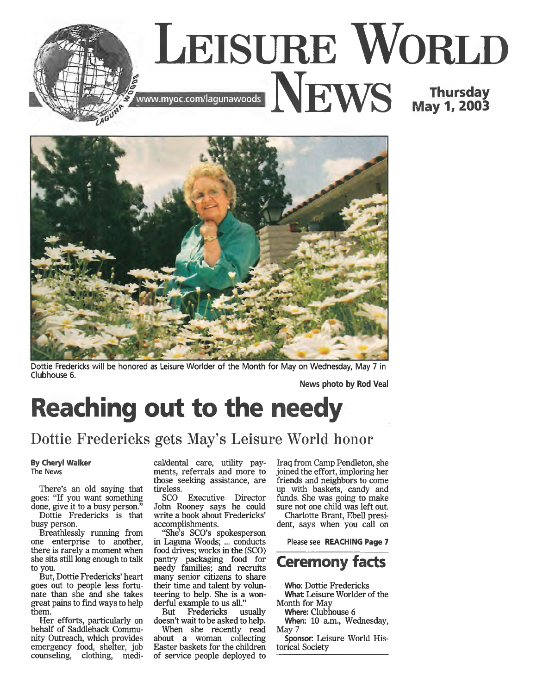



Dottie Fredericks will be honored as Leisure Worlder of the Month for May on Wednesday, May 7 in Clubhouse 6.

**News photo by Rod Veal**

## **Reaching out to the needy**

Dottie Fredericks gets May's Leisure World honor

## **By Cheryl Walker**

The News

There's an old saying that goes: "If you want something done, give it to a busy person."

Dottie Fredericks is that busy person.

Breathlessly running from one enterprise to another, there is rarely a moment when she sits still long enough to talk to you.

But, Dottie Fredericks' heart goes out to people less fortunate than she and she takes great pains to find ways to help them.

Her efforts, particularly on behalf of Saddleback Community Outreach, which provides emergency food, shelter, job counseling, clothing, medi-

cal/dental care, utility payments, referrals and more to those seeking assistance, are tireless.

SCO Executive Director John Rooney says he could write a book about Fredericks' accomplishments.

"She's SCO's spokesperson in Laguna Woods; ... conducts food drives; works in the (SCO) pantry packaging food for needy families; and recruits many senior citizens to share their time and talent by volunteering to help. She is a wonderful example to us all."

But Fredericks usually doesn't wait to be asked to help. When she recently read

about a woman collecting Easter baskets for the children of service people deployed to Iraq from Camp Pendleton, she joined the effort, imploring her friends and neighbors to come up with baskets, candy and funds. She was going to make sure not one child was left out. Charlotte Brant, Ebell presi-

dent, says when you call on

Please see **REACHING Page 7**



**Who:** Dottie Fredericks What: Leisure Worlder of the Month for May

**Where:** Clubhouse 6

**When:** 10 a.m., Wednesday, May 7

**Sponsor:** Leisure World Historical Society